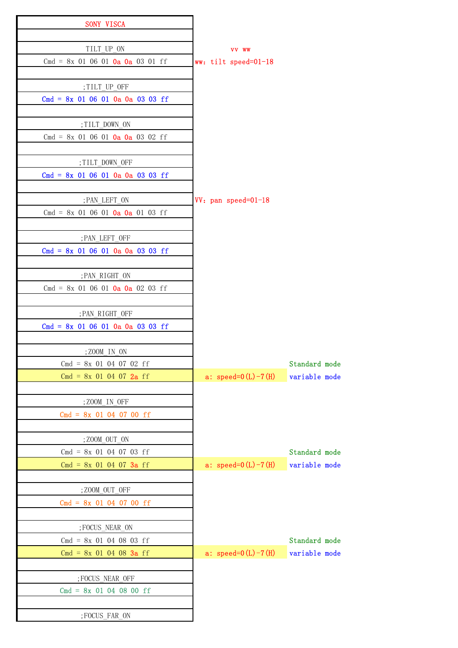